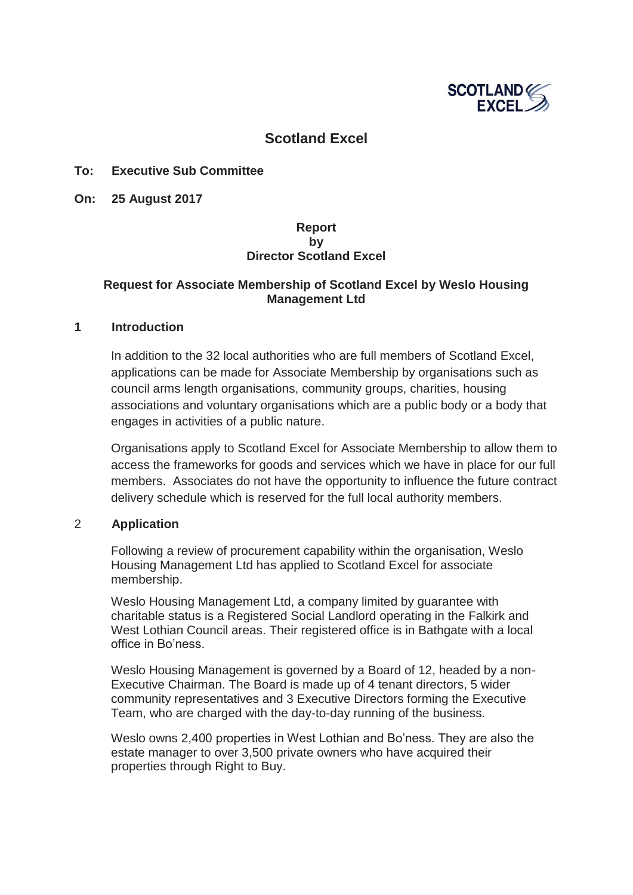

# **Scotland Excel**

#### **To: Executive Sub Committee**

**On: 25 August 2017** 

### **Report by Director Scotland Excel**

### **Request for Associate Membership of Scotland Excel by Weslo Housing Management Ltd**

#### **1 Introduction**

In addition to the 32 local authorities who are full members of Scotland Excel, applications can be made for Associate Membership by organisations such as council arms length organisations, community groups, charities, housing associations and voluntary organisations which are a public body or a body that engages in activities of a public nature.

Organisations apply to Scotland Excel for Associate Membership to allow them to access the frameworks for goods and services which we have in place for our full members. Associates do not have the opportunity to influence the future contract delivery schedule which is reserved for the full local authority members.

#### 2 **Application**

Following a review of procurement capability within the organisation, Weslo Housing Management Ltd has applied to Scotland Excel for associate membership.

Weslo Housing Management Ltd, a company limited by guarantee with charitable status is a Registered Social Landlord operating in the Falkirk and West Lothian Council areas. Their registered office is in Bathgate with a local office in Bo'ness.

Weslo Housing Management is governed by a Board of 12, headed by a non-Executive Chairman. The Board is made up of 4 tenant directors, 5 wider community representatives and 3 Executive Directors forming the Executive Team, who are charged with the day-to-day running of the business.

Weslo owns 2,400 properties in West Lothian and Bo'ness. They are also the estate manager to over 3,500 private owners who have acquired their properties through Right to Buy.